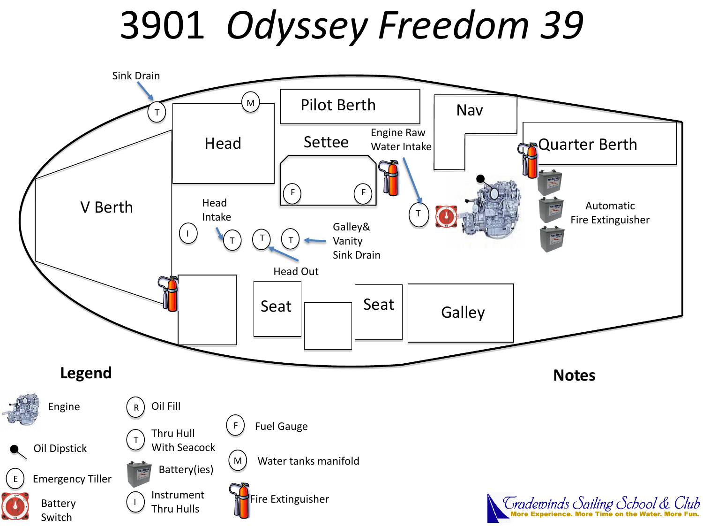## 3901 *Odyssey Freedom 39*

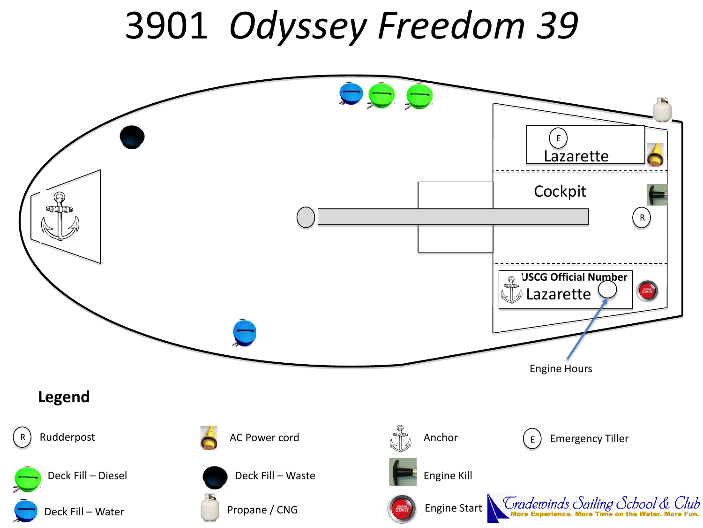## 3901 *Odyssey Freedom 39*

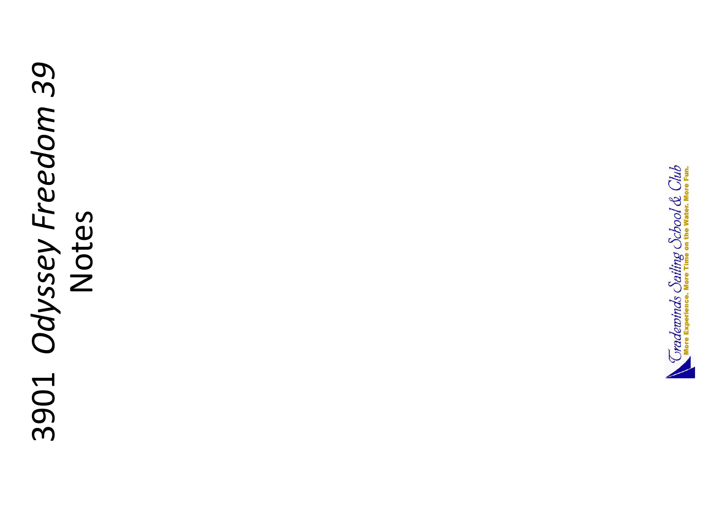## 3901 Odyssey Freedom 39 3901 *Odyssey Freedom 39* Notes

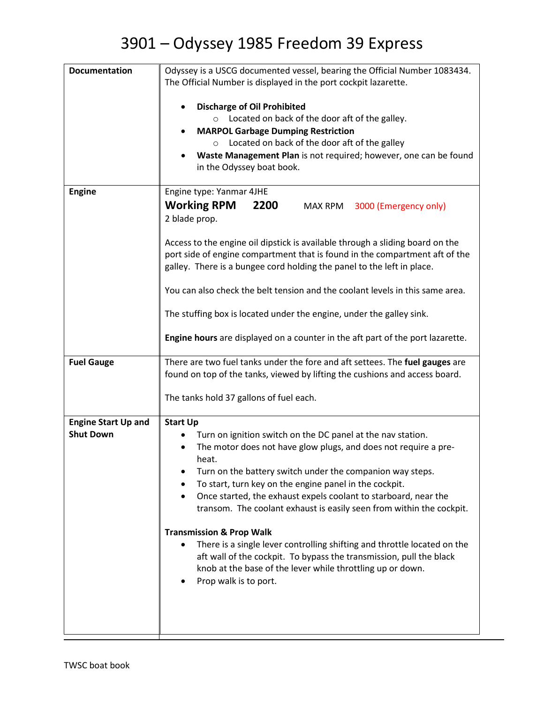## 3901 – Odyssey 1985 Freedom 39 Express

| <b>Documentation</b>       | Odyssey is a USCG documented vessel, bearing the Official Number 1083434.                                                               |
|----------------------------|-----------------------------------------------------------------------------------------------------------------------------------------|
|                            | The Official Number is displayed in the port cockpit lazarette.                                                                         |
|                            | <b>Discharge of Oil Prohibited</b>                                                                                                      |
|                            | $\circ$ Located on back of the door aft of the galley.<br><b>MARPOL Garbage Dumping Restriction</b>                                     |
|                            | o Located on back of the door aft of the galley                                                                                         |
|                            | Waste Management Plan is not required; however, one can be found                                                                        |
|                            | in the Odyssey boat book.                                                                                                               |
| <b>Engine</b>              | Engine type: Yanmar 4JHE                                                                                                                |
|                            | <b>Working RPM</b><br>2200<br>MAX RPM<br>3000 (Emergency only)                                                                          |
|                            | 2 blade prop.                                                                                                                           |
|                            | Access to the engine oil dipstick is available through a sliding board on the                                                           |
|                            | port side of engine compartment that is found in the compartment aft of the                                                             |
|                            | galley. There is a bungee cord holding the panel to the left in place.                                                                  |
|                            | You can also check the belt tension and the coolant levels in this same area.                                                           |
|                            | The stuffing box is located under the engine, under the galley sink.                                                                    |
|                            | Engine hours are displayed on a counter in the aft part of the port lazarette.                                                          |
| <b>Fuel Gauge</b>          | There are two fuel tanks under the fore and aft settees. The fuel gauges are                                                            |
|                            | found on top of the tanks, viewed by lifting the cushions and access board.                                                             |
|                            | The tanks hold 37 gallons of fuel each.                                                                                                 |
| <b>Engine Start Up and</b> | <b>Start Up</b>                                                                                                                         |
| <b>Shut Down</b>           | Turn on ignition switch on the DC panel at the nav station.                                                                             |
|                            | The motor does not have glow plugs, and does not require a pre-<br>heat.                                                                |
|                            | Turn on the battery switch under the companion way steps.                                                                               |
|                            | To start, turn key on the engine panel in the cockpit.                                                                                  |
|                            | Once started, the exhaust expels coolant to starboard, near the<br>transom. The coolant exhaust is easily seen from within the cockpit. |
|                            |                                                                                                                                         |
|                            | <b>Transmission &amp; Prop Walk</b><br>There is a single lever controlling shifting and throttle located on the                         |
|                            | aft wall of the cockpit. To bypass the transmission, pull the black                                                                     |
|                            | knob at the base of the lever while throttling up or down.                                                                              |
|                            | Prop walk is to port.                                                                                                                   |
|                            |                                                                                                                                         |
|                            |                                                                                                                                         |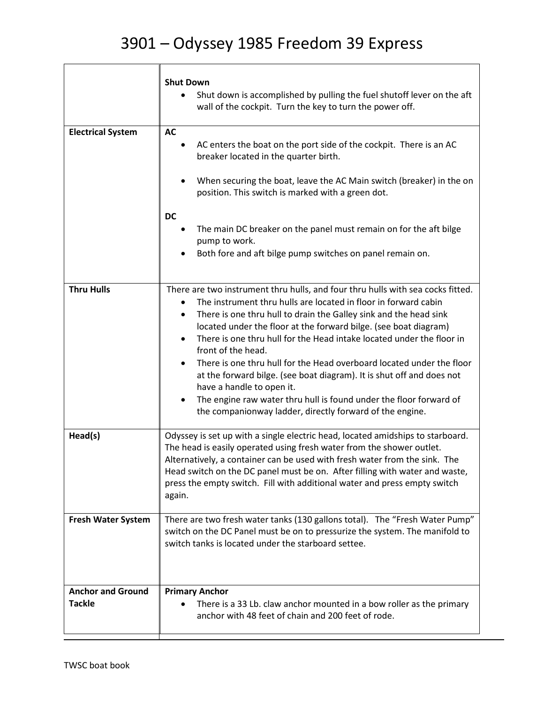T

|                                           | <b>Shut Down</b><br>Shut down is accomplished by pulling the fuel shutoff lever on the aft<br>wall of the cockpit. Turn the key to turn the power off.                                                                                                                                                                                                                                                                                                                                                                                                                                                                                                                                                           |
|-------------------------------------------|------------------------------------------------------------------------------------------------------------------------------------------------------------------------------------------------------------------------------------------------------------------------------------------------------------------------------------------------------------------------------------------------------------------------------------------------------------------------------------------------------------------------------------------------------------------------------------------------------------------------------------------------------------------------------------------------------------------|
| <b>Electrical System</b>                  | <b>AC</b><br>AC enters the boat on the port side of the cockpit. There is an AC<br>breaker located in the quarter birth.<br>When securing the boat, leave the AC Main switch (breaker) in the on<br>position. This switch is marked with a green dot.<br><b>DC</b><br>The main DC breaker on the panel must remain on for the aft bilge<br>pump to work.<br>Both fore and aft bilge pump switches on panel remain on.                                                                                                                                                                                                                                                                                            |
| <b>Thru Hulls</b>                         | There are two instrument thru hulls, and four thru hulls with sea cocks fitted.<br>The instrument thru hulls are located in floor in forward cabin<br>There is one thru hull to drain the Galley sink and the head sink<br>located under the floor at the forward bilge. (see boat diagram)<br>There is one thru hull for the Head intake located under the floor in<br>٠<br>front of the head.<br>There is one thru hull for the Head overboard located under the floor<br>at the forward bilge. (see boat diagram). It is shut off and does not<br>have a handle to open it.<br>The engine raw water thru hull is found under the floor forward of<br>the companionway ladder, directly forward of the engine. |
| Head(s)                                   | Odyssey is set up with a single electric head, located amidships to starboard.<br>The head is easily operated using fresh water from the shower outlet.<br>Alternatively, a container can be used with fresh water from the sink. The<br>Head switch on the DC panel must be on. After filling with water and waste,<br>press the empty switch. Fill with additional water and press empty switch<br>again.                                                                                                                                                                                                                                                                                                      |
| <b>Fresh Water System</b>                 | There are two fresh water tanks (130 gallons total). The "Fresh Water Pump"<br>switch on the DC Panel must be on to pressurize the system. The manifold to<br>switch tanks is located under the starboard settee.                                                                                                                                                                                                                                                                                                                                                                                                                                                                                                |
| <b>Anchor and Ground</b><br><b>Tackle</b> | <b>Primary Anchor</b><br>There is a 33 Lb. claw anchor mounted in a bow roller as the primary<br>anchor with 48 feet of chain and 200 feet of rode.                                                                                                                                                                                                                                                                                                                                                                                                                                                                                                                                                              |